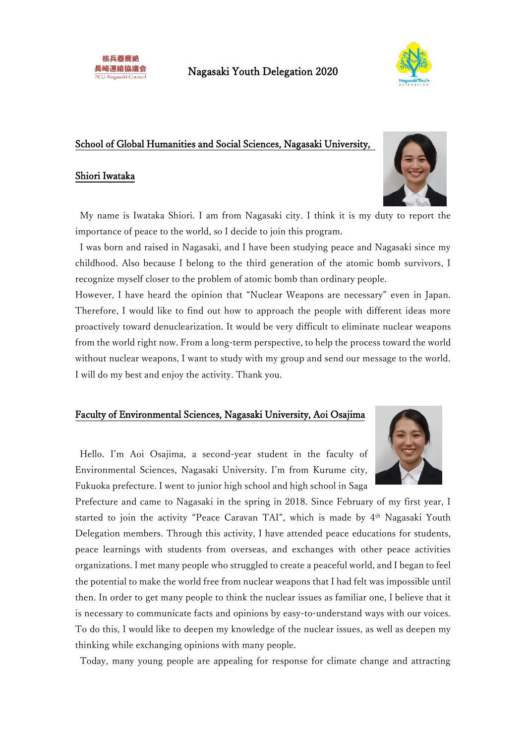

### School of Global Humanities and Social Sciences, Nagasaki University,

### Shiori Iwataka



My name is Iwataka Shiori. I am from Nagasaki city. I think it is my duty to report the importance of peace to the world, so I decide to join this program.

I was born and raised in Nagasaki, and I have been studying peace and Nagasaki since my childhood. Also because I belong to the third generation of the atomic bomb survivors, I recognize myself closer to the problem of atomic bomb than ordinary people.

However, I have heard the opinion that "Nuclear Weapons are necessary" even in Japan. Therefore, I would like to find out how to approach the people with different ideas more proactively toward denuclearization. It would be very difficult to eliminate nuclear weapons from the world right now. From a long-term perspective, to help the process toward the world without nuclear weapons, I want to study with my group and send our message to the world. I will do my best and enjoy the activity. Thank you.

### Faculty of Environmental Sciences, Nagasaki University, Aoi Osajima

Hello. I'm Aoi Osajima, a second-year student in the faculty of Environmental Sciences, Nagasaki University. I'm from Kurume city, Fukuoka prefecture. I went to junior high school and high school in Saga

Prefecture and came to Nagasaki in the spring in 2018. Since February of my first year, I started to join the activity "Peace Caravan TAI", which is made by 4<sup>th</sup> Nagasaki Youth Delegation members. Through this activity, I have attended peace educations for students, peace learnings with students from overseas, and exchanges with other peace activities organizations. I met many people who struggled to create a peaceful world, and I began to feel the potential to make the world free from nuclear weapons that I had felt was impossible until then. In order to get many people to think the nuclear issues as familiar one, I believe that it is necessary to communicate facts and opinions by easy-to-understand ways with our voices. To do this, I would like to deepen my knowledge of the nuclear issues, as well as deepen my thinking while exchanging opinions with many people.

Today, many young people are appealing for response for climate change and attracting

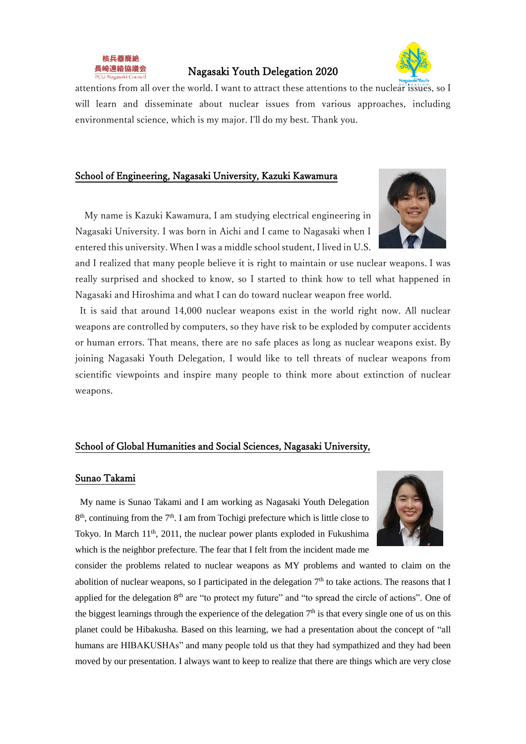

### Nagasaki Youth Delegation 2020



attentions from all over the world. I want to attract these attentions to the nuclear issues, so I will learn and disseminate about nuclear issues from various approaches, including environmental science, which is my major. I'll do my best. Thank you.

### School of Engineering, Nagasaki University, Kazuki Kawamura

My name is Kazuki Kawamura, I am studying electrical engineering in Nagasaki University. I was born in Aichi and I came to Nagasaki when I entered this university. When I was a middle school student, I lived in U.S.

and I realized that many people believe it is right to maintain or use nuclear weapons. I was really surprised and shocked to know, so I started to think how to tell what happened in Nagasaki and Hiroshima and what I can do toward nuclear weapon free world.

It is said that around 14,000 nuclear weapons exist in the world right now. All nuclear weapons are controlled by computers, so they have risk to be exploded by computer accidents or human errors. That means, there are no safe places as long as nuclear weapons exist. By joining Nagasaki Youth Delegation, I would like to tell threats of nuclear weapons from scientific viewpoints and inspire many people to think more about extinction of nuclear weapons.

# School of Global Humanities and Social Sciences, Nagasaki University,

#### Sunao Takami

My name is Sunao Takami and I am working as Nagasaki Youth Delegation 8<sup>th</sup>, continuing from the 7<sup>th</sup>. I am from Tochigi prefecture which is little close to Tokyo. In March 11<sup>th</sup>, 2011, the nuclear power plants exploded in Fukushima which is the neighbor prefecture. The fear that I felt from the incident made me



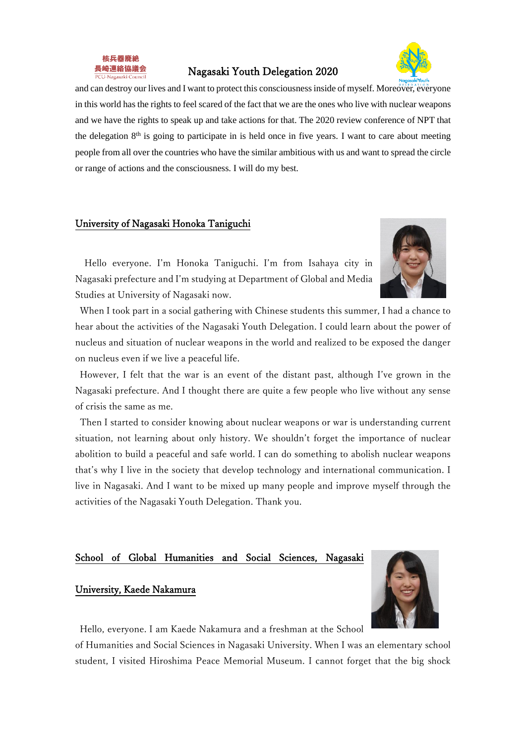

### Nagasaki Youth Delegation 2020



and can destroy our lives and I want to protect this consciousness inside of myself. Moreover, everyone in this world has the rights to feel scared of the fact that we are the ones who live with nuclear weapons and we have the rights to speak up and take actions for that. The 2020 review conference of NPT that the delegation  $8<sup>th</sup>$  is going to participate in is held once in five years. I want to care about meeting people from all over the countries who have the similar ambitious with us and want to spread the circle or range of actions and the consciousness. I will do my best.

### University of Nagasaki Honoka Taniguchi

Hello everyone. I'm Honoka Taniguchi. I'm from Isahaya city in Nagasaki prefecture and I'm studying at Department of Global and Media Studies at University of Nagasaki now.



When I took part in a social gathering with Chinese students this summer, I had a chance to hear about the activities of the Nagasaki Youth Delegation. I could learn about the power of nucleus and situation of nuclear weapons in the world and realized to be exposed the danger on nucleus even if we live a peaceful life.

However, I felt that the war is an event of the distant past, although I've grown in the Nagasaki prefecture. And I thought there are quite a few people who live without any sense of crisis the same as me.

Then I started to consider knowing about nuclear weapons or war is understanding current situation, not learning about only history. We shouldn't forget the importance of nuclear abolition to build a peaceful and safe world. I can do something to abolish nuclear weapons that's why I live in the society that develop technology and international communication. I live in Nagasaki. And I want to be mixed up many people and improve myself through the activities of the Nagasaki Youth Delegation. Thank you.

### School of Global Humanities and Social Sciences, Nagasaki

### University, Kaede Nakamura



Hello, everyone. I am Kaede Nakamura and a freshman at the School

of Humanities and Social Sciences in Nagasaki University. When I was an elementary school student, I visited Hiroshima Peace Memorial Museum. I cannot forget that the big shock